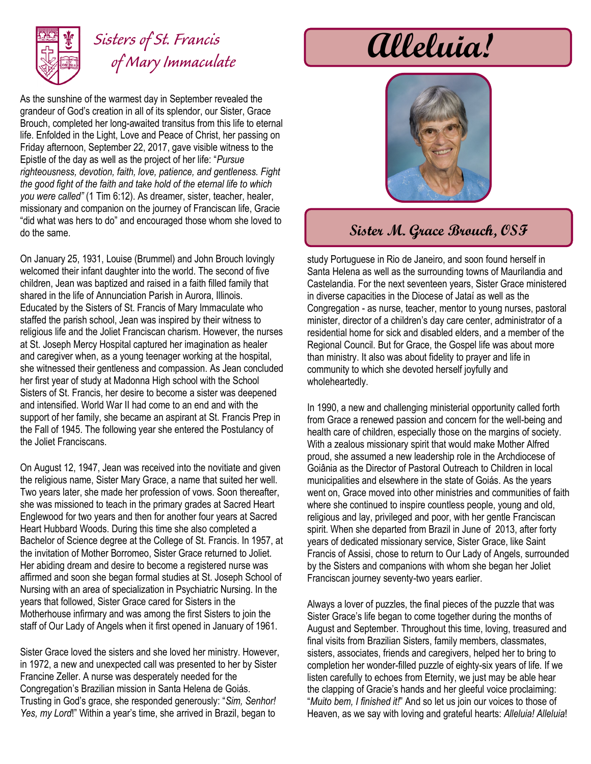

## *Sisters of St. Francis of Mary Immaculate*

As the sunshine of the warmest day in September revealed the grandeur of God's creation in all of its splendor, our Sister, Grace Brouch, completed her long-awaited transitus from this life to eternal life. Enfolded in the Light, Love and Peace of Christ, her passing on Friday afternoon, September 22, 2017, gave visible witness to the Epistle of the day as well as the project of her life: "*Pursue righteousness, devotion, faith, love, patience, and gentleness. Fight the good fight of the faith and take hold of the eternal life to which you were called"* (1 Tim 6:12). As dreamer, sister, teacher, healer, missionary and companion on the journey of Franciscan life, Gracie "did what was hers to do" and encouraged those whom she loved to do the same.

On January 25, 1931, Louise (Brummel) and John Brouch lovingly welcomed their infant daughter into the world. The second of five children, Jean was baptized and raised in a faith filled family that shared in the life of Annunciation Parish in Aurora, Illinois. Educated by the Sisters of St. Francis of Mary Immaculate who staffed the parish school, Jean was inspired by their witness to religious life and the Joliet Franciscan charism. However, the nurses at St. Joseph Mercy Hospital captured her imagination as healer and caregiver when, as a young teenager working at the hospital, she witnessed their gentleness and compassion. As Jean concluded her first year of study at Madonna High school with the School Sisters of St. Francis, her desire to become a sister was deepened and intensified. World War II had come to an end and with the support of her family, she became an aspirant at St. Francis Prep in the Fall of 1945. The following year she entered the Postulancy of the Joliet Franciscans.

On August 12, 1947, Jean was received into the novitiate and given the religious name, Sister Mary Grace, a name that suited her well. Two years later, she made her profession of vows. Soon thereafter, she was missioned to teach in the primary grades at Sacred Heart Englewood for two years and then for another four years at Sacred Heart Hubbard Woods. During this time she also completed a Bachelor of Science degree at the College of St. Francis. In 1957, at the invitation of Mother Borromeo, Sister Grace returned to Joliet. Her abiding dream and desire to become a registered nurse was affirmed and soon she began formal studies at St. Joseph School of Nursing with an area of specialization in Psychiatric Nursing. In the years that followed, Sister Grace cared for Sisters in the Motherhouse infirmary and was among the first Sisters to join the staff of Our Lady of Angels when it first opened in January of 1961.

Sister Grace loved the sisters and she loved her ministry. However, in 1972, a new and unexpected call was presented to her by Sister Francine Zeller. A nurse was desperately needed for the Congregation's Brazilian mission in Santa Helena de Goiás. Trusting in God's grace, she responded generously: "*Sim, Senhor! Yes, my Lord*!" Within a year's time, she arrived in Brazil, began to

# **Alleluia!**



#### **Sister M. Grace Brouch, OSF**

study Portuguese in Rio de Janeiro, and soon found herself in Santa Helena as well as the surrounding towns of Maurilandia and Castelandia. For the next seventeen years, Sister Grace ministered in diverse capacities in the Diocese of Jataí as well as the Congregation - as nurse, teacher, mentor to young nurses, pastoral minister, director of a children's day care center, administrator of a residential home for sick and disabled elders, and a member of the Regional Council. But for Grace, the Gospel life was about more than ministry. It also was about fidelity to prayer and life in community to which she devoted herself joyfully and wholeheartedly.

In 1990, a new and challenging ministerial opportunity called forth from Grace a renewed passion and concern for the well-being and health care of children, especially those on the margins of society. With a zealous missionary spirit that would make Mother Alfred proud, she assumed a new leadership role in the Archdiocese of Goiânia as the Director of Pastoral Outreach to Children in local municipalities and elsewhere in the state of Goiás. As the years went on, Grace moved into other ministries and communities of faith where she continued to inspire countless people, young and old, religious and lay, privileged and poor, with her gentle Franciscan spirit. When she departed from Brazil in June of 2013, after forty years of dedicated missionary service, Sister Grace, like Saint Francis of Assisi, chose to return to Our Lady of Angels, surrounded by the Sisters and companions with whom she began her Joliet Franciscan journey seventy-two years earlier.

Always a lover of puzzles, the final pieces of the puzzle that was Sister Grace's life began to come together during the months of August and September. Throughout this time, loving, treasured and final visits from Brazilian Sisters, family members, classmates, sisters, associates, friends and caregivers, helped her to bring to completion her wonder-filled puzzle of eighty-six years of life. If we listen carefully to echoes from Eternity, we just may be able hear the clapping of Gracie's hands and her gleeful voice proclaiming: "*Muito bem, I finished it!*" And so let us join our voices to those of Heaven, as we say with loving and grateful hearts: *Alleluia! Alleluia*!